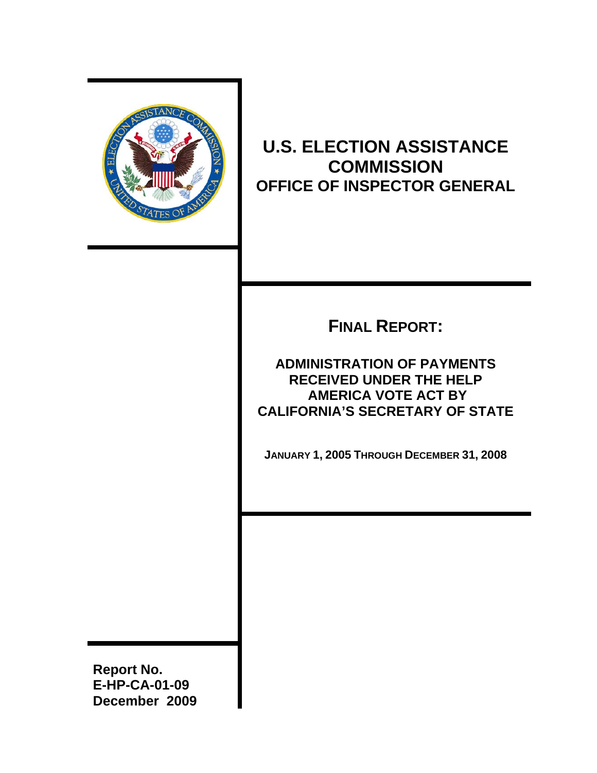

## **U.S. ELECTION ASSISTANCE COMMISSION OFFICE OF INSPECTOR GENERAL**

# **FINAL REPORT:**

## **ADMINISTRATION OF PAYMENTS RECEIVED UNDER THE HELP AMERICA VOTE ACT BY CALIFORNIA'S SECRETARY OF STATE**

 **JANUARY 1, 2005 THROUGH DECEMBER 31, 2008** 

**Report No. E-HP-CA-01-09 December 2009**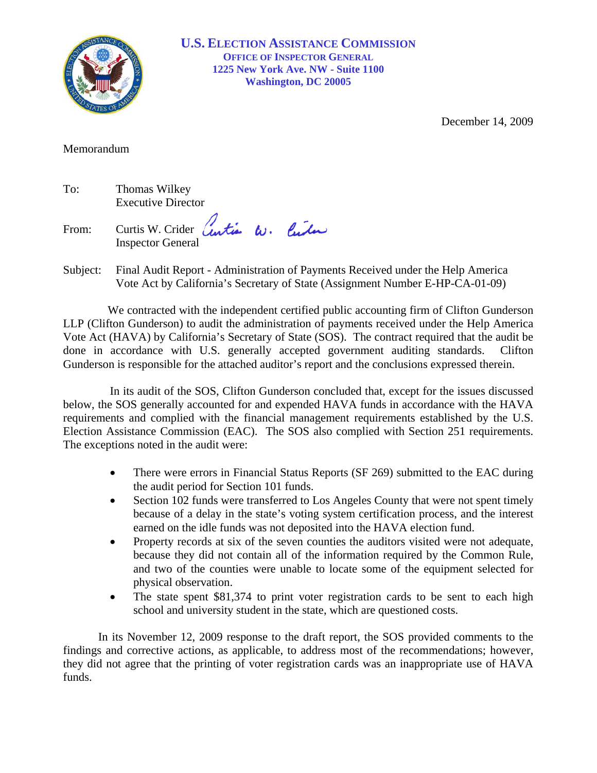

**U.S. ELECTION ASSISTANCE COMMISSION<br>OFFICE OF INSPECTOR GENERAL<br>1225 New York Ave. NW - Suite 1100 OFFICE OF INSPECTOR GENERAL Washington, DC 20005**

December 14, 2009

Memorandum

| To: | Thomas Wilkey             |
|-----|---------------------------|
|     | <b>Executive Director</b> |

From: Curtis W. Crider Centier W. Center Inspector General

Subject: Final Audit Report - Administration of Payments Received under the Help America Vote Act by California's Secretary of State (Assignment Number E-HP-CA-01-09)

We contracted with the independent certified public accounting firm of Clifton Gunderson LLP (Clifton Gunderson) to audit the administration of payments received under the Help America Vote Act (HAVA) by California's Secretary of State (SOS). The contract required that the audit be done in accordance with U.S. generally accepted government auditing standards. Clifton Gunderson is responsible for the attached auditor's report and the conclusions expressed therein.

In its audit of the SOS, Clifton Gunderson concluded that, except for the issues discussed below, the SOS generally accounted for and expended HAVA funds in accordance with the HAVA requirements and complied with the financial management requirements established by the U.S. Election Assistance Commission (EAC). The SOS also complied with Section 251 requirements. The exceptions noted in the audit were:

- $\bullet$ There were errors in Financial Status Reports (SF 269) submitted to the EAC during the audit period for Section 101 funds.
- Section 102 funds were transferred to Los Angeles County that were not spent timely because of a delay in the state's voting system certification process, and the interest earned on the idle funds was not deposited into the HAVA election fund.
- $\bullet$ Property records at six of the seven counties the auditors visited were not adequate, because they did not contain all of the information required by the Common Rule, and two of the counties were unable to locate some of the equipment selected for physical observation.
- $\bullet$ The state spent \$81,374 to print voter registration cards to be sent to each high school and university student in the state, which are questioned costs.

In its November 12, 2009 response to the draft report, the SOS provided comments to the findings and corrective actions, as applicable, to address most of the recommendations; however, they did not agree that the printing of voter registration cards was an inappropriate use of HAVA funds.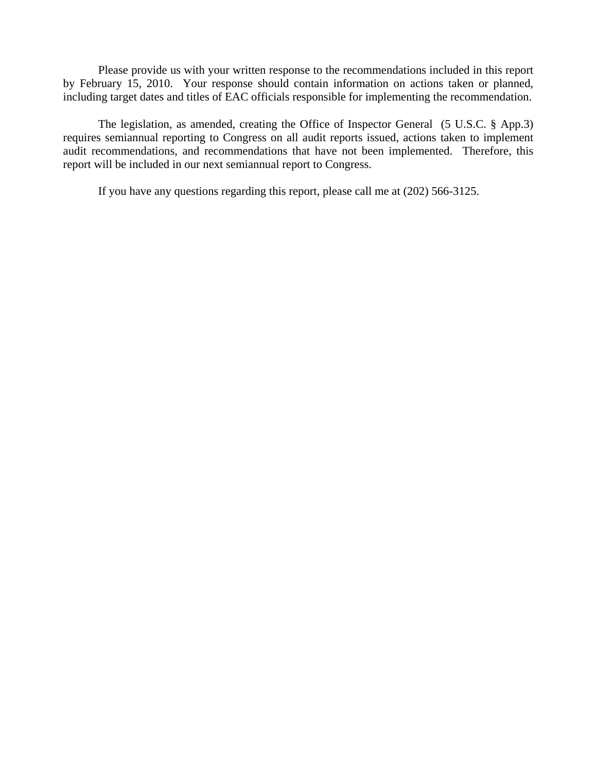Please provide us with your written response to the recommendations included in this report by February 15, 2010. Your response should contain information on actions taken or planned, including target dates and titles of EAC officials responsible for implementing the recommendation.

The legislation, as amended, creating the Office of Inspector General (5 U.S.C. § App.3) requires semiannual reporting to Congress on all audit reports issued, actions taken to implement audit recommendations, and recommendations that have not been implemented. Therefore, this report will be included in our next semiannual report to Congress.

If you have any questions regarding this report, please call me at (202) 566-3125.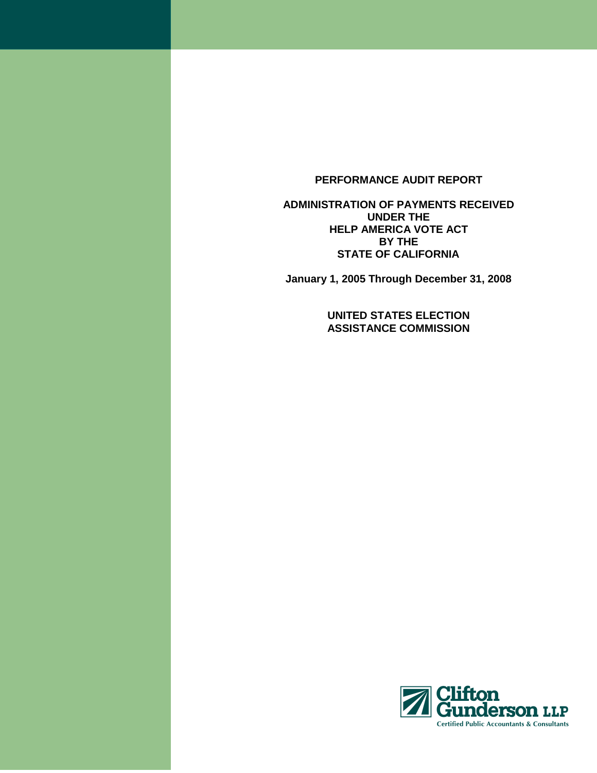## **PERFORMANCE AUDIT REPORT**

**ADMINISTRATION OF PAYMENTS RECEIVED UNDER THE HELP AMERICA VOTE ACT BY THE STATE OF CALIFORNIA** 

**January 1, 2005 Through December 31, 2008** 

**UNITED STATES ELECTION ASSISTANCE COMMISSION** 

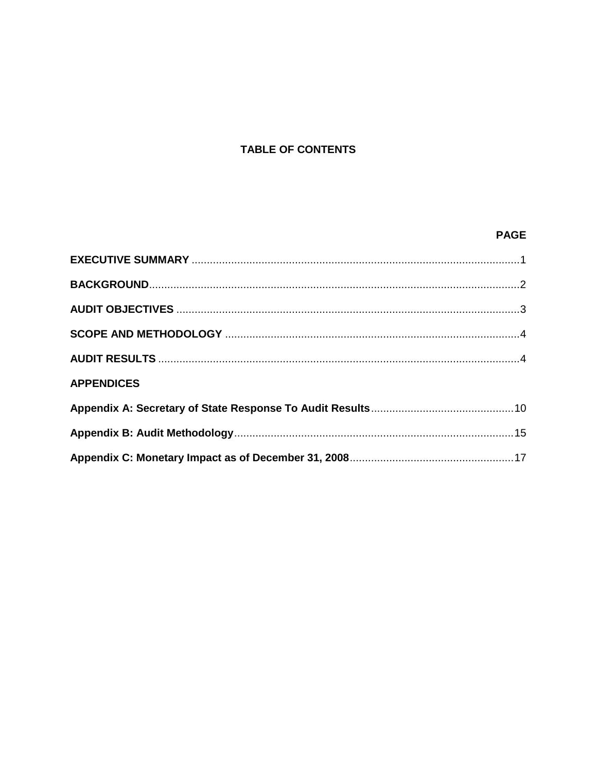## **TABLE OF CONTENTS**

## **PAGE**

| <b>APPENDICES</b> |  |
|-------------------|--|
|                   |  |
|                   |  |
|                   |  |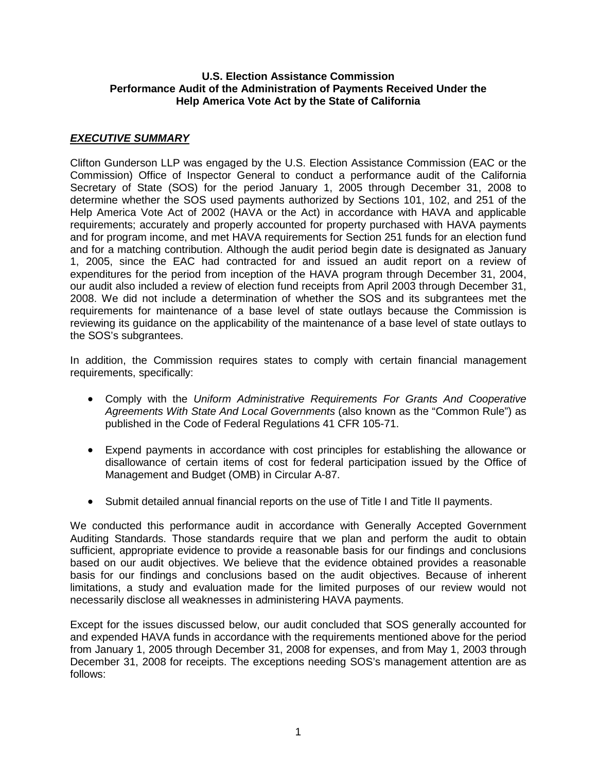#### **U.S. Election Assistance Commission Performance Audit of the Administration of Payments Received Under the Help America Vote Act by the State of California**

## **EXECUTIVE SUMMARY**

Clifton Gunderson LLP was engaged by the U.S. Election Assistance Commission (EAC or the Commission) Office of Inspector General to conduct a performance audit of the California Secretary of State (SOS) for the period January 1, 2005 through December 31, 2008 to determine whether the SOS used payments authorized by Sections 101, 102, and 251 of the Help America Vote Act of 2002 (HAVA or the Act) in accordance with HAVA and applicable requirements; accurately and properly accounted for property purchased with HAVA payments and for program income, and met HAVA requirements for Section 251 funds for an election fund and for a matching contribution. Although the audit period begin date is designated as January 1, 2005, since the EAC had contracted for and issued an audit report on a review of expenditures for the period from inception of the HAVA program through December 31, 2004, our audit also included a review of election fund receipts from April 2003 through December 31, 2008. We did not include a determination of whether the SOS and its subgrantees met the requirements for maintenance of a base level of state outlays because the Commission is reviewing its guidance on the applicability of the maintenance of a base level of state outlays to the SOS's subgrantees.

In addition, the Commission requires states to comply with certain financial management requirements, specifically:

- •Comply with the Uniform Administrative Requirements For Grants And Cooperative Agreements With State And Local Governments (also known as the "Common Rule") as published in the Code of Federal Regulations 41 CFR 105-71.
- •Expend payments in accordance with cost principles for establishing the allowance or disallowance of certain items of cost for federal participation issued by the Office of Management and Budget (OMB) in Circular A-87.
- •Submit detailed annual financial reports on the use of Title I and Title II payments.

We conducted this performance audit in accordance with Generally Accepted Government Auditing Standards. Those standards require that we plan and perform the audit to obtain sufficient, appropriate evidence to provide a reasonable basis for our findings and conclusions based on our audit objectives. We believe that the evidence obtained provides a reasonable basis for our findings and conclusions based on the audit objectives. Because of inherent limitations, a study and evaluation made for the limited purposes of our review would not necessarily disclose all weaknesses in administering HAVA payments.

Except for the issues discussed below, our audit concluded that SOS generally accounted for and expended HAVA funds in accordance with the requirements mentioned above for the period from January 1, 2005 through December 31, 2008 for expenses, and from May 1, 2003 through December 31, 2008 for receipts. The exceptions needing SOS's management attention are as follows: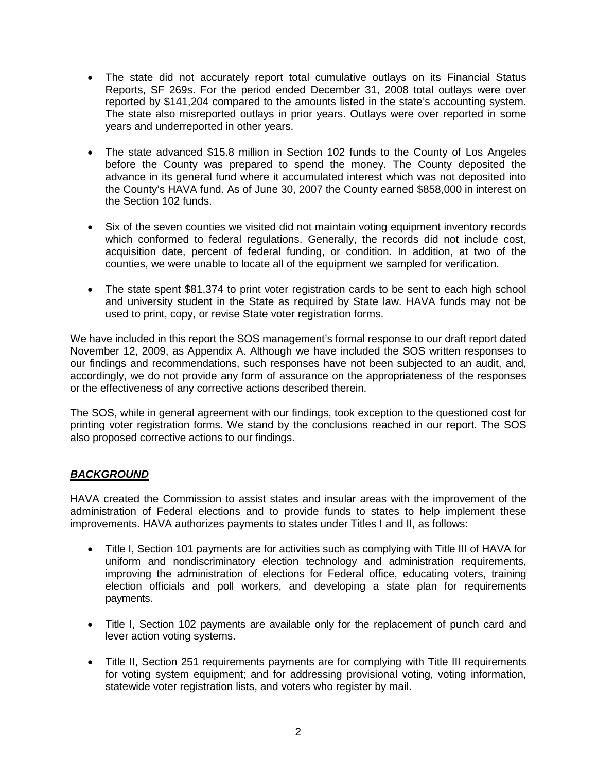- •The state did not accurately report total cumulative outlays on its Financial Status Reports, SF 269s. For the period ended December 31, 2008 total outlays were over reported by \$141,204 compared to the amounts listed in the state's accounting system. The state also misreported outlays in prior years. Outlays were over reported in some years and underreported in other years.
- •The state advanced \$15.8 million in Section 102 funds to the County of Los Angeles before the County was prepared to spend the money. The County deposited the advance in its general fund where it accumulated interest which was not deposited into the County's HAVA fund. As of June 30, 2007 the County earned \$858,000 in interest on the Section 102 funds.
- •Six of the seven counties we visited did not maintain voting equipment inventory records which conformed to federal regulations. Generally, the records did not include cost, acquisition date, percent of federal funding, or condition. In addition, at two of the counties, we were unable to locate all of the equipment we sampled for verification.
- •The state spent \$81,374 to print voter registration cards to be sent to each high school and university student in the State as required by State law. HAVA funds may not be used to print, copy, or revise State voter registration forms.

We have included in this report the SOS management's formal response to our draft report dated November 12, 2009, as Appendix A. Although we have included the SOS written responses to our findings and recommendations, such responses have not been subjected to an audit, and, accordingly, we do not provide any form of assurance on the appropriateness of the responses or the effectiveness of any corrective actions described therein.

The SOS, while in general agreement with our findings, took exception to the questioned cost for printing voter registration forms. We stand by the conclusions reached in our report. The SOS also proposed corrective actions to our findings.

## **BACKGROUND**

HAVA created the Commission to assist states and insular areas with the improvement of the administration of Federal elections and to provide funds to states to help implement these improvements. HAVA authorizes payments to states under Titles I and II, as follows:

- •Title I, Section 101 payments are for activities such as complying with Title III of HAVA for uniform and nondiscriminatory election technology and administration requirements, improving the administration of elections for Federal office, educating voters, training election officials and poll workers, and developing a state plan for requirements payments.
- •Title I, Section 102 payments are available only for the replacement of punch card and lever action voting systems.
- •Title II, Section 251 requirements payments are for complying with Title III requirements for voting system equipment; and for addressing provisional voting, voting information, statewide voter registration lists, and voters who register by mail.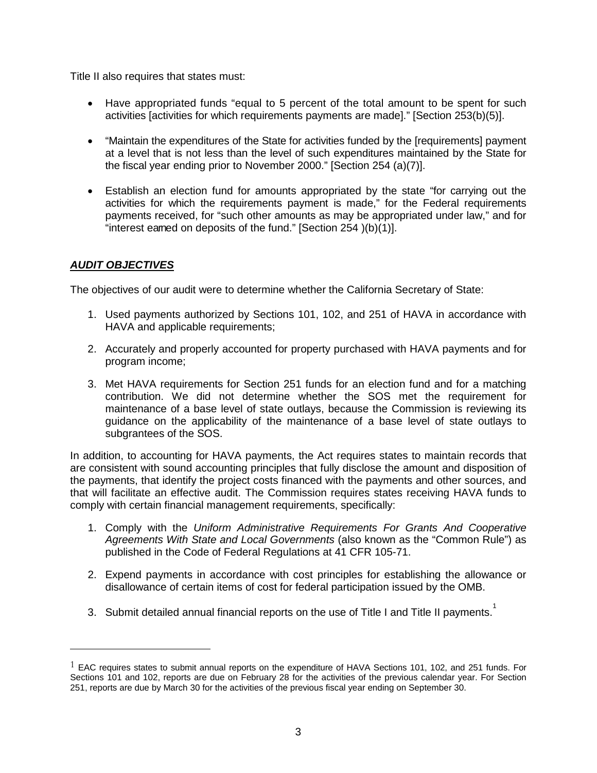Title II also requires that states must:

- •Have appropriated funds "equal to 5 percent of the total amount to be spent for such activities [activities for which requirements payments are made]." [Section 253(b)(5)].
- •"Maintain the expenditures of the State for activities funded by the [requirements] payment at a level that is not less than the level of such expenditures maintained by the State for the fiscal year ending prior to November 2000." [Section 254 (a)(7)].
- •Establish an election fund for amounts appropriated by the state "for carrying out the activities for which the requirements payment is made," for the Federal requirements payments received, for "such other amounts as may be appropriated under law," and for "interest eamed on deposits of the fund." [Section 254 )(b)(1)].

## **AUDIT OBJECTIVES**

The objectives of our audit were to determine whether the California Secretary of State:

- 1. Used payments authorized by Sections 101, 102, and 251 of HAVA in accordance with HAVA and applicable requirements;
- 2. Accurately and properly accounted for property purchased with HAVA payments and for program income;
- 3. Met HAVA requirements for Section 251 funds for an election fund and for a matching contribution. We did not determine whether the SOS met the requirement for maintenance of a base level of state outlays, because the Commission is reviewing its guidance on the applicability of the maintenance of a base level of state outlays to subgrantees of the SOS.

In addition, to accounting for HAVA payments, the Act requires states to maintain records that are consistent with sound accounting principles that fully disclose the amount and disposition of the payments, that identify the project costs financed with the payments and other sources, and that will facilitate an effective audit. The Commission requires states receiving HAVA funds to comply with certain financial management requirements, specifically:

- 1. Comply with the Uniform Administrative Requirements For Grants And Cooperative Agreements With State and Local Governments (also known as the "Common Rule") as published in the Code of Federal Regulations at 41 CFR 105-71.
- 2. Expend payments in accordance with cost principles for establishing the allowance or disallowance of certain items of cost for federal participation issued by the OMB.
- 3. Submit detailed annual financial reports on the use of Title I and Title II payments.<sup>1</sup>

 $1$  EAC requires states to submit annual reports on the expenditure of HAVA Sections 101, 102, and 251 funds. For Sections 101 and 102, reports are due on February 28 for the activities of the previous calendar year. For Section 251, reports are due by March 30 for the activities of the previous fiscal year ending on September 30.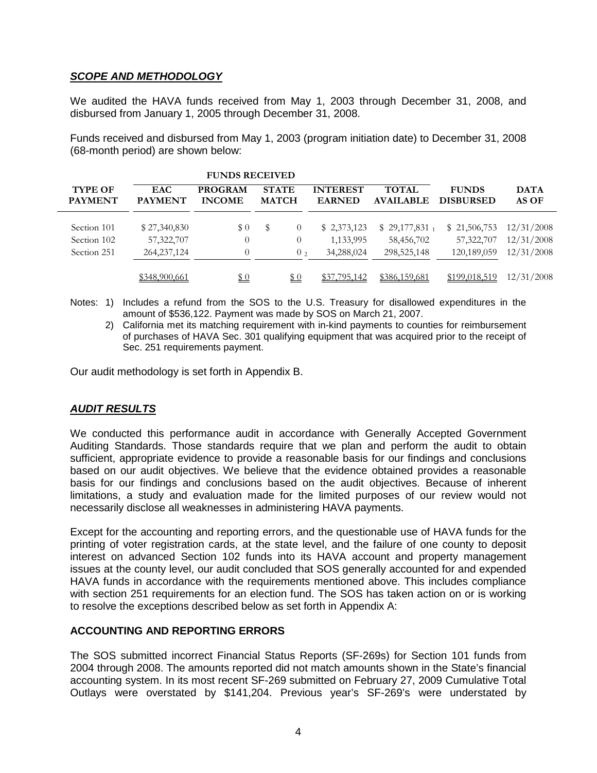## **SCOPE AND METHODOLOGY**

We audited the HAVA funds received from May 1, 2003 through December 31, 2008, and disbursed from January 1, 2005 through December 31, 2008.

Funds received and disbursed from May 1, 2003 (program initiation date) to December 31, 2008 (68-month period) are shown below:

| <b>FUNDS RECEIVED</b>            |                              |                                 |                              |                |                                  |                                  |                                  |                      |
|----------------------------------|------------------------------|---------------------------------|------------------------------|----------------|----------------------------------|----------------------------------|----------------------------------|----------------------|
| <b>TYPE OF</b><br><b>PAYMENT</b> | <b>EAC</b><br><b>PAYMENT</b> | <b>PROGRAM</b><br><b>INCOME</b> | <b>STATE</b><br><b>MATCH</b> |                | <b>INTEREST</b><br><b>EARNED</b> | <b>TOTAL</b><br><b>AVAILABLE</b> | <b>FUNDS</b><br><b>DISBURSED</b> | <b>DATA</b><br>AS OF |
| Section 101                      | \$27,340,830                 | \$0                             |                              | $^{(1)}$       | \$2,373,123                      | $$29,177,831_1$                  | \$21,506,753                     | 12/31/2008           |
| Section 102                      | 57,322,707                   | $\boldsymbol{0}$                |                              | 0              | 1,133,995                        | 58,456,702                       | 57,322,707                       | 12/31/2008           |
| Section 251                      | 264, 237, 124                | $\overline{0}$                  |                              | 0 <sub>2</sub> | 34,288,024                       | 298,525,148                      | 120,189,059                      | 12/31/2008           |
|                                  | \$348,900,661                | <u>\$0</u>                      |                              | \$0            | \$37,795,142                     | \$386,159,681                    | \$199,018,519                    | 12/31/2008           |

Notes: 1) Includes a refund from the SOS to the U.S. Treasury for disallowed expenditures in the amount of \$536,122. Payment was made by SOS on March 21, 2007.

2) California met its matching requirement with in-kind payments to counties for reimbursement of purchases of HAVA Sec. 301 qualifying equipment that was acquired prior to the receipt of Sec. 251 requirements payment.

Our audit methodology is set forth in Appendix B.

## **AUDIT RESULTS**

We conducted this performance audit in accordance with Generally Accepted Government Auditing Standards. Those standards require that we plan and perform the audit to obtain sufficient, appropriate evidence to provide a reasonable basis for our findings and conclusions based on our audit objectives. We believe that the evidence obtained provides a reasonable basis for our findings and conclusions based on the audit objectives. Because of inherent limitations, a study and evaluation made for the limited purposes of our review would not necessarily disclose all weaknesses in administering HAVA payments.

Except for the accounting and reporting errors, and the questionable use of HAVA funds for the printing of voter registration cards, at the state level, and the failure of one county to deposit interest on advanced Section 102 funds into its HAVA account and property management issues at the county level, our audit concluded that SOS generally accounted for and expended HAVA funds in accordance with the requirements mentioned above. This includes compliance with section 251 requirements for an election fund. The SOS has taken action on or is working to resolve the exceptions described below as set forth in Appendix A:

## **ACCOUNTING AND REPORTING ERRORS**

The SOS submitted incorrect Financial Status Reports (SF-269s) for Section 101 funds from 2004 through 2008. The amounts reported did not match amounts shown in the State's financial accounting system. In its most recent SF-269 submitted on February 27, 2009 Cumulative Total Outlays were overstated by \$141,204. Previous year's SF-269's were understated by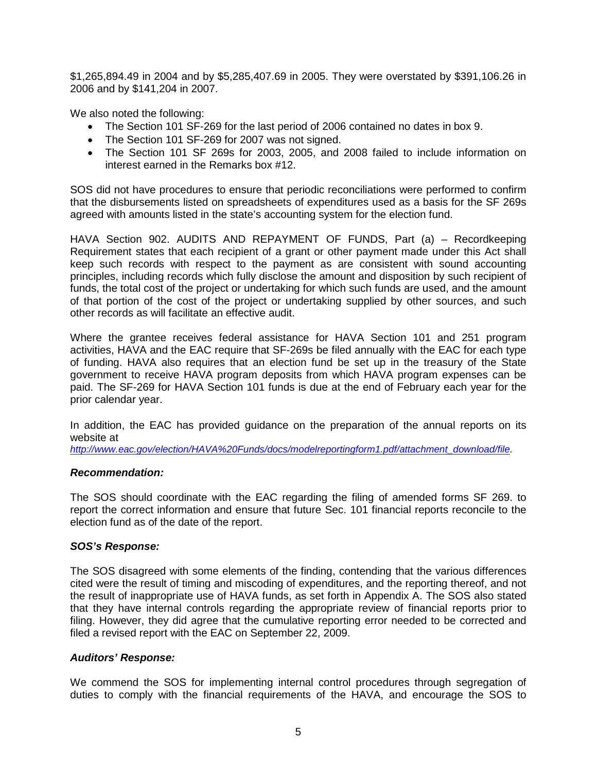\$1,265,894.49 in 2004 and by \$5,285,407.69 in 2005. They were overstated by \$391,106.26 in 2006 and by \$141,204 in 2007.

We also noted the following:

- •The Section 101 SF-269 for the last period of 2006 contained no dates in box 9.
- The Section 101 SF-269 for 2007 was not signed.
- •The Section 101 SF 269s for 2003, 2005, and 2008 failed to include information on interest earned in the Remarks box #12.

SOS did not have procedures to ensure that periodic reconciliations were performed to confirm that the disbursements listed on spreadsheets of expenditures used as a basis for the SF 269s agreed with amounts listed in the state's accounting system for the election fund.

HAVA Section 902. AUDITS AND REPAYMENT OF FUNDS, Part (a) – Recordkeeping Requirement states that each recipient of a grant or other payment made under this Act shall keep such records with respect to the payment as are consistent with sound accounting principles, including records which fully disclose the amount and disposition by such recipient of funds, the total cost of the project or undertaking for which such funds are used, and the amount of that portion of the cost of the project or undertaking supplied by other sources, and such other records as will facilitate an effective audit.

Where the grantee receives federal assistance for HAVA Section 101 and 251 program activities, HAVA and the EAC require that SF-269s be filed annually with the EAC for each type of funding. HAVA also requires that an election fund be set up in the treasury of the State government to receive HAVA program deposits from which HAVA program expenses can be paid. The SF-269 for HAVA Section 101 funds is due at the end of February each year for the prior calendar year.

In addition, the EAC has provided guidance on the preparation of the annual reports on its website at

http://www.eac.gov/election/HAVA%20Funds/docs/modelreportingform1.pdf/attachment\_download/file.

#### **Recommendation:**

The SOS should coordinate with the EAC regarding the filing of amended forms SF 269. to report the correct information and ensure that future Sec. 101 financial reports reconcile to the election fund as of the date of the report.

#### **SOS's Response:**

The SOS disagreed with some elements of the finding, contending that the various differences cited were the result of timing and miscoding of expenditures, and the reporting thereof, and not the result of inappropriate use of HAVA funds, as set forth in Appendix A. The SOS also stated that they have internal controls regarding the appropriate review of financial reports prior to filing. However, they did agree that the cumulative reporting error needed to be corrected and filed a revised report with the EAC on September 22, 2009.

## **Auditors' Response:**

We commend the SOS for implementing internal control procedures through segregation of duties to comply with the financial requirements of the HAVA, and encourage the SOS to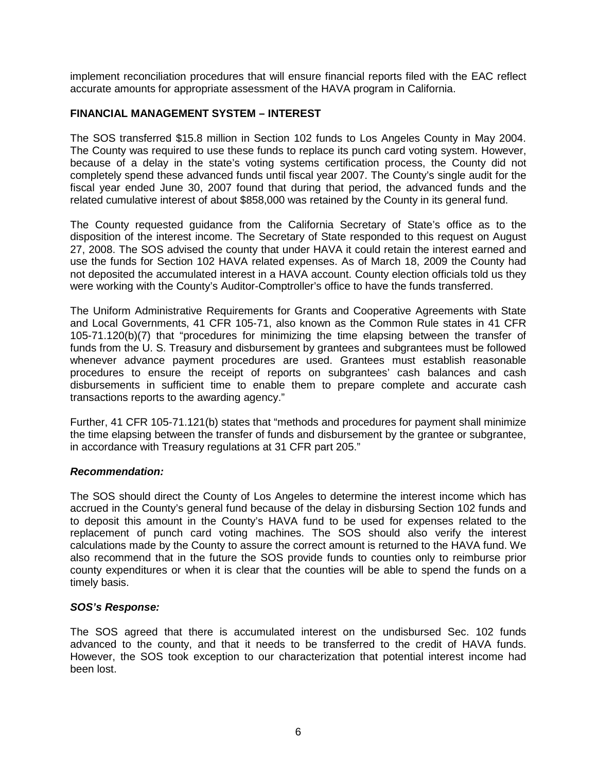implement reconciliation procedures that will ensure financial reports filed with the EAC reflect accurate amounts for appropriate assessment of the HAVA program in California.

#### **FINANCIAL MANAGEMENT SYSTEM – INTEREST**

The SOS transferred \$15.8 million in Section 102 funds to Los Angeles County in May 2004. The County was required to use these funds to replace its punch card voting system. However, because of a delay in the state's voting systems certification process, the County did not completely spend these advanced funds until fiscal year 2007. The County's single audit for the fiscal year ended June 30, 2007 found that during that period, the advanced funds and the related cumulative interest of about \$858,000 was retained by the County in its general fund.

The County requested guidance from the California Secretary of State's office as to the disposition of the interest income. The Secretary of State responded to this request on August 27, 2008. The SOS advised the county that under HAVA it could retain the interest earned and use the funds for Section 102 HAVA related expenses. As of March 18, 2009 the County had not deposited the accumulated interest in a HAVA account. County election officials told us they were working with the County's Auditor-Comptroller's office to have the funds transferred.

The Uniform Administrative Requirements for Grants and Cooperative Agreements with State and Local Governments, 41 CFR 105-71, also known as the Common Rule states in 41 CFR 105-71.120(b)(7) that "procedures for minimizing the time elapsing between the transfer of funds from the U. S. Treasury and disbursement by grantees and subgrantees must be followed whenever advance payment procedures are used. Grantees must establish reasonable procedures to ensure the receipt of reports on subgrantees' cash balances and cash disbursements in sufficient time to enable them to prepare complete and accurate cash transactions reports to the awarding agency."

Further, 41 CFR 105-71.121(b) states that "methods and procedures for payment shall minimize the time elapsing between the transfer of funds and disbursement by the grantee or subgrantee, in accordance with Treasury regulations at 31 CFR part 205."

#### **Recommendation:**

The SOS should direct the County of Los Angeles to determine the interest income which has accrued in the County's general fund because of the delay in disbursing Section 102 funds and to deposit this amount in the County's HAVA fund to be used for expenses related to the replacement of punch card voting machines. The SOS should also verify the interest calculations made by the County to assure the correct amount is returned to the HAVA fund. We also recommend that in the future the SOS provide funds to counties only to reimburse prior county expenditures or when it is clear that the counties will be able to spend the funds on a timely basis.

#### **SOS's Response:**

The SOS agreed that there is accumulated interest on the undisbursed Sec. 102 funds advanced to the county, and that it needs to be transferred to the credit of HAVA funds. However, the SOS took exception to our characterization that potential interest income had been lost.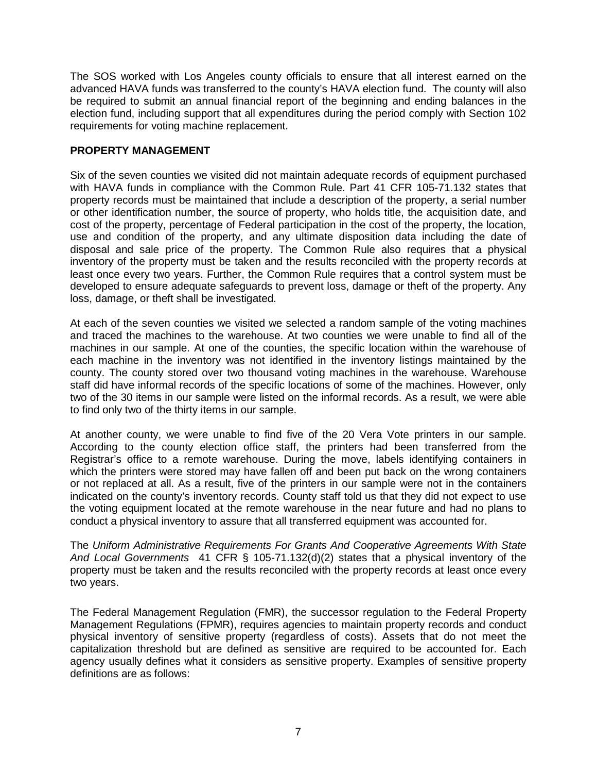The SOS worked with Los Angeles county officials to ensure that all interest earned on the advanced HAVA funds was transferred to the county's HAVA election fund. The county will also be required to submit an annual financial report of the beginning and ending balances in the election fund, including support that all expenditures during the period comply with Section 102 requirements for voting machine replacement.

#### **PROPERTY MANAGEMENT**

Six of the seven counties we visited did not maintain adequate records of equipment purchased with HAVA funds in compliance with the Common Rule. Part 41 CFR 105-71.132 states that property records must be maintained that include a description of the property, a serial number or other identification number, the source of property, who holds title, the acquisition date, and cost of the property, percentage of Federal participation in the cost of the property, the location, use and condition of the property, and any ultimate disposition data including the date of disposal and sale price of the property. The Common Rule also requires that a physical inventory of the property must be taken and the results reconciled with the property records at least once every two years. Further, the Common Rule requires that a control system must be developed to ensure adequate safeguards to prevent loss, damage or theft of the property. Any loss, damage, or theft shall be investigated.

At each of the seven counties we visited we selected a random sample of the voting machines and traced the machines to the warehouse. At two counties we were unable to find all of the machines in our sample. At one of the counties, the specific location within the warehouse of each machine in the inventory was not identified in the inventory listings maintained by the county. The county stored over two thousand voting machines in the warehouse. Warehouse staff did have informal records of the specific locations of some of the machines. However, only two of the 30 items in our sample were listed on the informal records. As a result, we were able to find only two of the thirty items in our sample.

At another county, we were unable to find five of the 20 Vera Vote printers in our sample. According to the county election office staff, the printers had been transferred from the Registrar's office to a remote warehouse. During the move, labels identifying containers in which the printers were stored may have fallen off and been put back on the wrong containers or not replaced at all. As a result, five of the printers in our sample were not in the containers indicated on the county's inventory records. County staff told us that they did not expect to use the voting equipment located at the remote warehouse in the near future and had no plans to conduct a physical inventory to assure that all transferred equipment was accounted for.

The Uniform Administrative Requirements For Grants And Cooperative Agreements With State And Local Governments 41 CFR § 105-71.132(d)(2) states that a physical inventory of the property must be taken and the results reconciled with the property records at least once every two years.

The Federal Management Regulation (FMR), the successor regulation to the Federal Property Management Regulations (FPMR), requires agencies to maintain property records and conduct physical inventory of sensitive property (regardless of costs). Assets that do not meet the capitalization threshold but are defined as sensitive are required to be accounted for. Each agency usually defines what it considers as sensitive property. Examples of sensitive property definitions are as follows: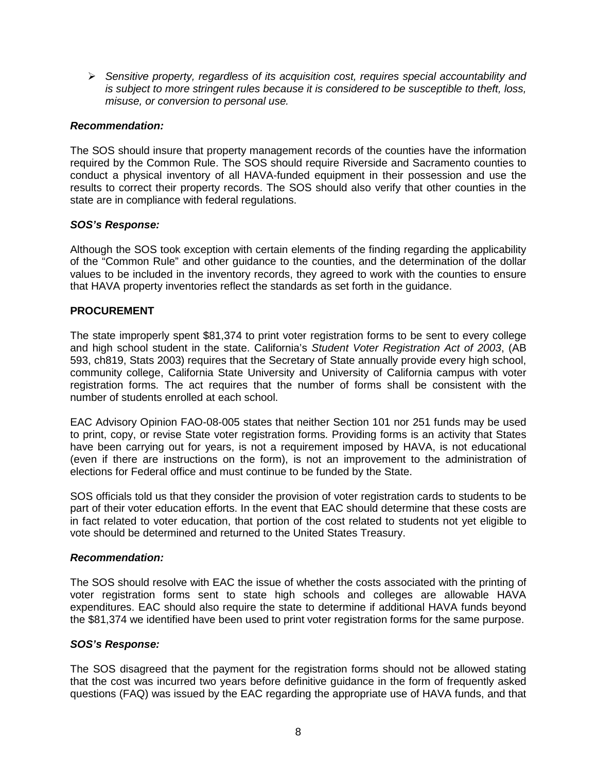$\triangleright$  Sensitive property, regardless of its acquisition cost, requires special accountability and is subject to more stringent rules because it is considered to be susceptible to theft, loss, misuse, or conversion to personal use.

#### **Recommendation:**

The SOS should insure that property management records of the counties have the information required by the Common Rule. The SOS should require Riverside and Sacramento counties to conduct a physical inventory of all HAVA-funded equipment in their possession and use the results to correct their property records. The SOS should also verify that other counties in the state are in compliance with federal regulations.

#### **SOS's Response:**

Although the SOS took exception with certain elements of the finding regarding the applicability of the "Common Rule" and other guidance to the counties, and the determination of the dollar values to be included in the inventory records, they agreed to work with the counties to ensure that HAVA property inventories reflect the standards as set forth in the guidance.

#### **PROCUREMENT**

The state improperly spent \$81,374 to print voter registration forms to be sent to every college and high school student in the state. California's Student Voter Registration Act of 2003, (AB 593, ch819, Stats 2003) requires that the Secretary of State annually provide every high school, community college, California State University and University of California campus with voter registration forms. The act requires that the number of forms shall be consistent with the number of students enrolled at each school.

EAC Advisory Opinion FAO-08-005 states that neither Section 101 nor 251 funds may be used to print, copy, or revise State voter registration forms. Providing forms is an activity that States have been carrying out for years, is not a requirement imposed by HAVA, is not educational (even if there are instructions on the form), is not an improvement to the administration of elections for Federal office and must continue to be funded by the State.

SOS officials told us that they consider the provision of voter registration cards to students to be part of their voter education efforts. In the event that EAC should determine that these costs are in fact related to voter education, that portion of the cost related to students not yet eligible to vote should be determined and returned to the United States Treasury.

#### **Recommendation:**

The SOS should resolve with EAC the issue of whether the costs associated with the printing of voter registration forms sent to state high schools and colleges are allowable HAVA expenditures. EAC should also require the state to determine if additional HAVA funds beyond the \$81,374 we identified have been used to print voter registration forms for the same purpose.

## **SOS's Response:**

The SOS disagreed that the payment for the registration forms should not be allowed stating that the cost was incurred two years before definitive guidance in the form of frequently asked questions (FAQ) was issued by the EAC regarding the appropriate use of HAVA funds, and that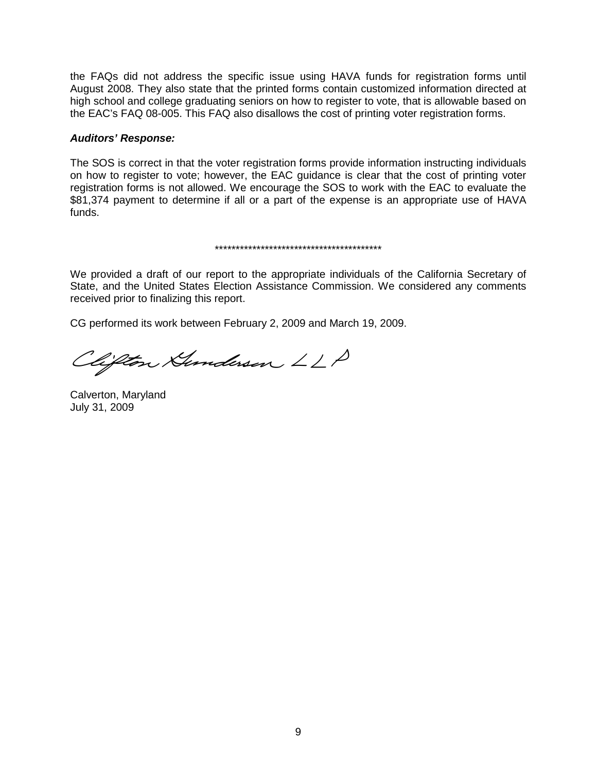the FAQs did not address the specific issue using HAVA funds for registration forms until August 2008. They also state that the printed forms contain customized information directed at high school and college graduating seniors on how to register to vote, that is allowable based on the EAC's FAQ 08-005. This FAQ also disallows the cost of printing voter registration forms.

#### **Auditors' Response:**

The SOS is correct in that the voter registration forms provide information instructing individuals on how to register to vote; however, the EAC guidance is clear that the cost of printing voter registration forms is not allowed. We encourage the SOS to work with the EAC to evaluate the \$81,374 payment to determine if all or a part of the expense is an appropriate use of HAVA funds.

#### \*\*\*\*\*\*\*\*\*\*\*\*\*\*\*\*\*\*\*\*\*\*\*\*\*\*\*\*\*\*\*\*\*\*\*\*\*\*\*\*

We provided a draft of our report to the appropriate individuals of the California Secretary of State, and the United States Election Assistance Commission. We considered any comments received prior to finalizing this report.

CG performed its work between February 2, 2009 and March 19, 2009.

Clifton Hunderson LLP

Calverton, Maryland July 31, 2009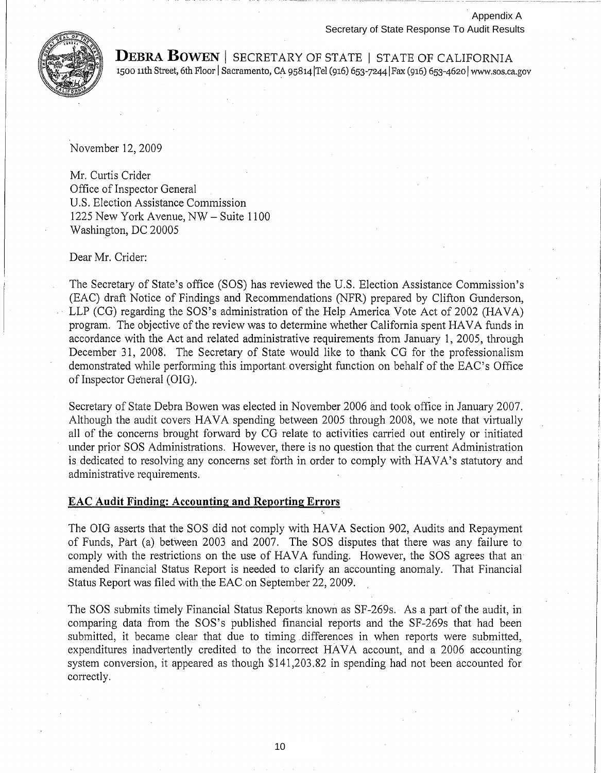

**DEBRA BOWEN** | SECRETARY OF STATE | STATE OF CALIFORNIA 1500 11th Street, 6th Floor | Sacramento, CA 95814 Tel (916) 653-7244 Fax (916) 653-4620 www.sos.ca.gov

November 12,2009

Mr. Curtis Crider Office of Inspector General U.S. Election Assistance Commission 1225 New York Avenue, NW - Suite 1100 Washington, DC 20005

Dear Mr. Crider:

The Secretary of State's office (SOS) has reviewed the U.S. Election Assistance Commission's (EAC) draft Notice of Findings and Recommendations (NFR) prepared by Clifton Gunderson, LLP (CG) regarding the SOS's administration of the Help America Vote Act of 2002 (HAVA) program. The objective of the review was to determine whether California spent HAVA funds in accordance with the Act and related administrative requirements from January 1, 2005, through December 31, 2008. The Secretary of State would like to thank CG for the professionalism demonstrated while performing this important oversight function on behalf of the EAC's Office of Inspector General (OIG).

Secretary of State Debra Bowen was elected in November 2006 and took office in January 2007. Although the audit covers HAVA spending between 2005 through 2008, we note that virtually all of the concerns brought forward by CG relate to activities carried out entirely or initiated under prior SOS Administrations. However, there is no question that the current Administration is dedicated to resolving any concerns set forth in order to comply with HAVA's statutory and administrative requirements.

#### **EAC Audit Finding: Accounting and Reporting Errors**

The OIG asserts that the SOS did not comply with HAVA Section 902, Audits and Repayment of Funds, Part (a) between 2003 and 2007. The SOS disputes that there was any failure to comply with the restrictions on the use of HAVA funding. However, the SOS agrees that an amended Financial Status Report is needed to clarify an accounting anomaly. That Financial Status Report was filed with the EAC on September 22, 2009.

The SOS submits timely Financial Status Reports known as SF-269s. As a part of the audit, in comparing data from the SOS's published financial reports and the SF-269s that had been submitted, it became clear that due to timing. differences in when reports were submitted, expenditures inadvertently credited to the incorrect HAVA account, and a 2006 accounting system conversion, it appeared as though \$141,203.82 in spending had not been accounted for correctly.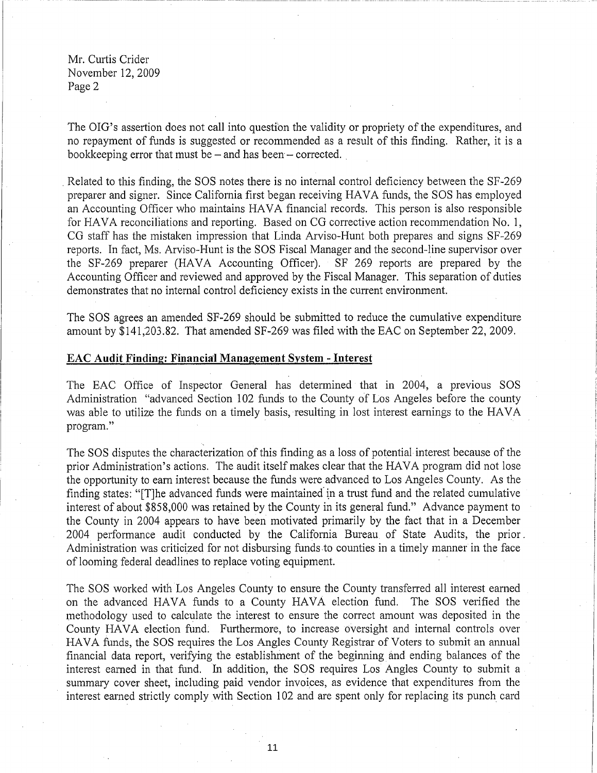Mr. Curtis Crider November 12,2009 Page 2

The OIG's assertion does not call into question the validity or propriety of the expenditures, and no repayment of funds is suggested or recommended as a result of this finding. Rather, it is a bookkeeping error that must be  $-$  and has been  $-$  corrected.

. Related to this finding, the SOS notes there is no internal control deficiency between the SF-269 preparer and signer. Since California first began receiving HAVA funds, the SOS has employed an Accounting Officer who maintains HAVA financial records. This person is also responsible for HAVA reconciliations and reporting. Based on CG corrective action recommendation No. 1, CG staff has the mistaken impression that Linda Arviso-Hunt both prepares and signs SF-269 reports. In fact, Ms. Arviso-Hunt is the SOS Fiscal Manager and the second-line supervisor over the SF-269 preparer (HAVA Accounting Officer). SF 269 reports are prepared by the Accounting Officer and reviewed and approved by the Fiscal Manager. This separation of duties demonstrates that no internal control deficiency exists in the current environment.

The SOS agrees an amended SF-269 should be submitted to reduce the cumulative expenditure amount by \$141,203.82. That amended SF-269 was filed with the EAC on September 22, 2009.

#### EAC **Audit Finding: Financial Management** System - **Interest**

The EAC Office of Inspector General has determined that in 2004, a previous SOS Administration "advanced Section 102 funds to the County of Los Angeles before the county was able to utilize the funds on a timely basis, resulting in lost interest earnings to the HAVA program."

The SOS disputes the characterization of this finding as a loss of potential interest because of the prior Administration's actions. The audit itself makes clear that the HAVA program did not lose the opportunity to earn interest because the funds were advanced to Los Angeles County. As the finding states: "[T]he advanced funds were maintained'in a trust fund and the related cumulative interest of about \$858,000 was retained by the County in its general fund." Advance payment to the County in 2004 appears to have been motivated primarily by the fact that in a December 2004 performance audit conducted by the California Bureau of State Audits, the prior, Administration was criticized for not disbursing funds to counties in a timely manner in the face of looming federal deadlines to replace voting equipment. .

The SOS worked with Los Angeles County to ensure the County transferred all interest earned on the advanced HAVA funds to a County HAVA election fund. The SOS verified the methodology used to calculate the interest to ensure the correct amount was deposited in the County HAVA election fund. Furthermore, to increase oversight and internal controls over HAVA funds, the SOS requires the Los Angles County Registrar of Voters to submit an annual financial data report, verifying the establishment of the beginning and ending balances of the interest earned in that fund. In addition, the SOS requires Los Angles County to submit a summary cover sheet, including paid vendor invoices, as evidence that expenditures from the interest earned strictly comply with Section 102 and are spent only for replacing its punch card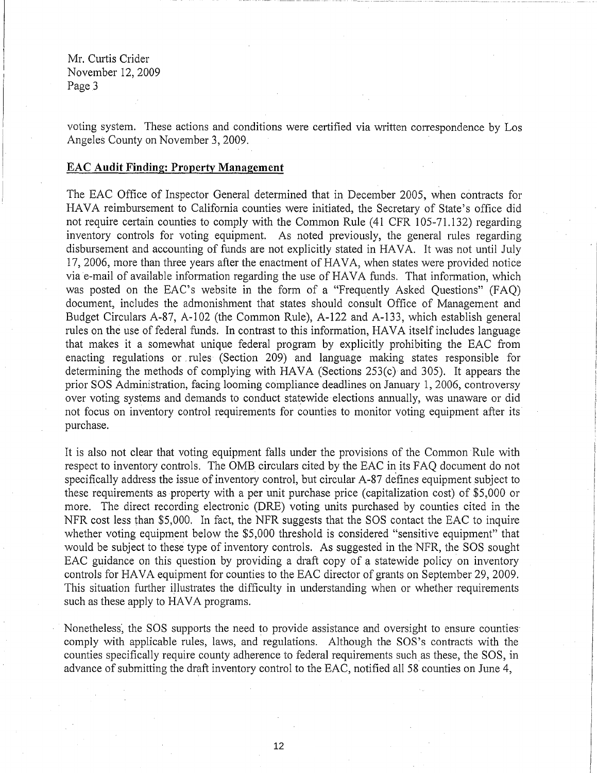Mr. Curtis Crider November 12,2009 Page 3

voting system. These actions and conditions were certified via written correspondence by Los Angeles County on November 3, 2009.

#### **EAC Audit Finding: Property Management**

The EAC Office of Inspector General determined that in December 2005, when contracts for HAVA reimbursement to California counties were initiated, the Secretary of State's office did not require certain counties to comply with the Common Rule (41 CFR 105-71.132) regarding inventory controls for voting equipment. As noted previously, the general rules regarding disbursement and accounting of funds are not explicitly stated in HAVA. It was not until July 17,2006, more than three years after the enactment of HAVA, when states were provided notice via e-mail of available information regarding the use of HAVA funds. That information, which was posted on the EAC's website in the form of a "Frequently Asked Questions" (FAQ) document, includes the admonishment that states should consult Office of Management and Budget Circulars A-87, A-102 (the Common Rule), A-122 and A-133, which establish general rules on the use of federal funds. In contrast to this information, HAVA itself includes language that makes it a somewhat unique federal program by explicitly prohibiting the EAC from enacting regulations or. rules (Section 209) and language making states responsible for determining the methods of complying with HAVA (Sections 253(c) and 305). It appears the prior SOS Administration, facing looming compliance deadlines on January 1, 2006, controversy over voting systems and demands to conduct statewide elections annually, was unaware or did not focus on inventory control requirements for counties to monitor voting equipment after its purchase.

It is also not clear that voting equipment falls under the provisions of the Common Rule with respect to inventory controls. The OMB circulars cited by the EAC in its FAQ document do not specifically address the issue of inventory control, but circular A-87 defines equipment subject to these requirements as property with a per unit purchase price (capitalization cost) of \$5,000 or more. The direct recording electronic (DRE) voting units purchased by counties cited in the NFR cost less than \$5,000. In fact, the NFR suggests that the SOS contact the EAC to inquire whether voting equipment below the \$5,000 threshold is considered "sensitive equipment" that would be subject to these type of inventory controls. As suggested in the NFR, the SOS sought EAC guidance on this question by providing a draft copy of a statewide policy on inventory controls for HAVA equipment for counties to the EAC director of grants on September 29, 2009. This situation further illustrates the difficulty in understanding when or whether requirements such as these apply to HAVA programs.

Nonetheless, the SOS supports the need to provide assistance and oversight to ensure counties comply with applicable rules, laws, and regulations. Although the SOS's contracts with the counties specifically require county adherence to federal requirements such as these, the SOS, in advance of submitting the draft inventory control to the EAC, notified all 58 counties on June 4,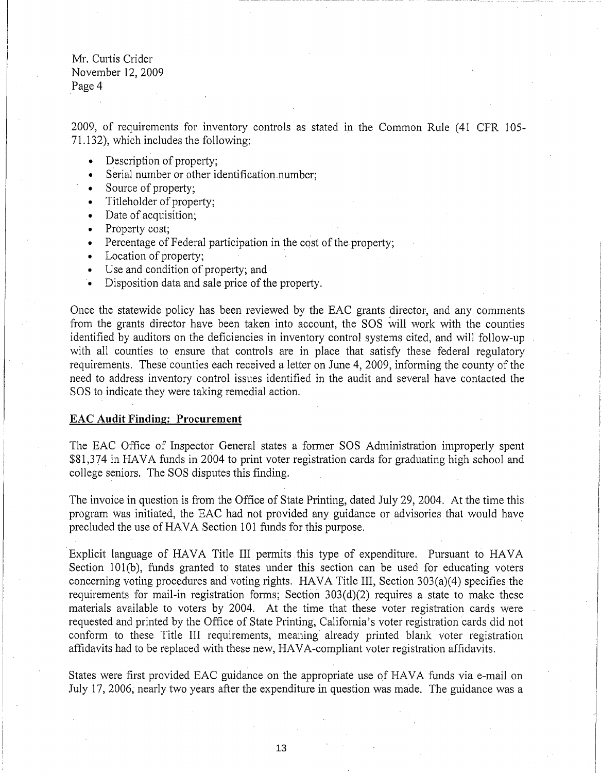Mr. Curtis Crider November 12,2009 Page 4

2009, of requirements for inventory controls as stated in the Common Rule (41 CFR 105 71.132), which includes the following:

- Description of property;
- Serial number or other identification number;
- Source of property:
- Titleholder of property;
- Date of acquisition;
- Property cost;
- Percentage of Federal participation in the cost of the property;
- Location of property;
- Use and condition of property; and
- Disposition data and sale price of the property.

Once the statewide policy has been reviewed by the EAC grants director, and any comments from the grants director have been taken into account, the SOS will work with the counties identified by auditors on the deficiencies in inventory control systems cited, and will follow-up with all counties to ensure that controls are in place that satisfy these federal regulatory requirements. These counties each received a letter on June 4,2009, informing the county of the need to address inventory control issues identified in the audit and several have contacted the SOS to indicate they were taking remedial action.

#### EAC **Audit Finding: Procurement**

The EAC Office of Inspector General states a former SOS Administration improperly spent \$81,374 in HAVA funds in 2004 to print voter registration cards for graduating high school and college seniors. The SOS disputes this finding.

The invoice in question is from the Office of State Printing, dated July 29,2004. At the time this program was initiated, the EAC had not provided any guidance or advisories that would have precluded the use of HAVA Section 101 funds for this purpose.

Explicit language of HAVA Title III permits this type of expenditure. Pursuant to HAVA Section 101(b), funds granted to states under this section can be used for educating voters concerning voting procedures and voting rights. HAVA Title III, Section 303(a)(4) specifies the requirements for mail-in registration forms; Section 303(d)(2) requires a state to make these materials available to voters by 2004. At the time that these voter registration cards were requested and printed by the Office of State Printing, California's voter registration cards did not conform to these Title III requirements, meaning already printed blank voter registration affidavits had to be replaced with these new, HAVA-compliant voter registration affidavits.

States were first provided EAC guidance on the appropriate use of HAVA funds via e-mail on July 17,2006, nearly two years after the expenditure in question was made. The guidance was a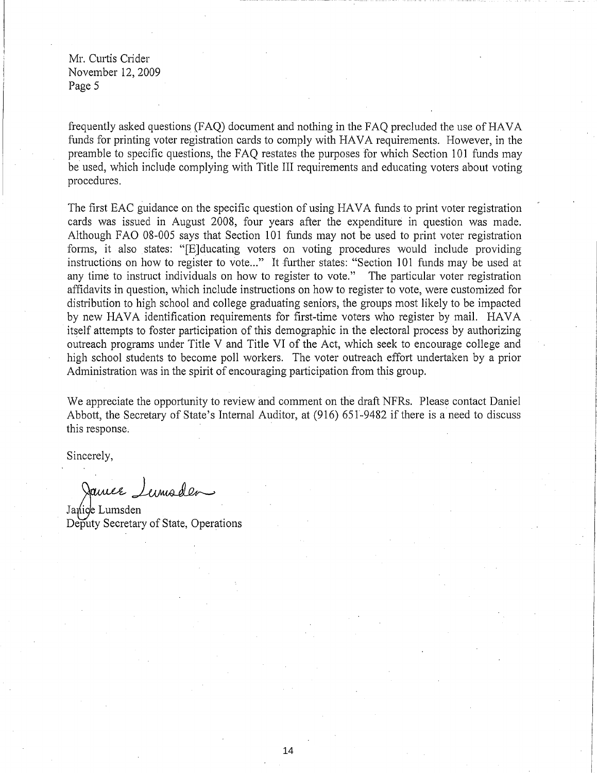Mr. Curtis Crider November 12,2009 Page 5

frequently asked questions (FAQ) document and nothing in the FAQ precluded the use of HAVA funds for printing voter registration cards to comply with HAVA requirements. However, in the preamble to specific questions, the FAQ restates the purposes for which Section 101 funds may be used, which include complying with Title III requirements and educating voters about voting procedures.

The first EAC guidance on the specific question of using HAVA funds to print voter registration cards was issued in August 2008, four years after the expenditure in question was made. Although FAO 08-005 says that Section 101 funds may not be used to print voter registration forms, it also states: "[E]ducating voters on voting procedures would include providing instructions on how to register to vote..." It further states: "Section 101 funds may be used at any time to instruct individuals on how to register to vote." The particular voter registration affidavits in question, which include instructions on how to register to vote, were customized for distribution to high school and college graduating seniors, the groups most likely to be impacted by new HAVA identification requirements for first-time voters who register by mail. HAVA itself attempts to foster participation of this demographic in the electoral process by authorizing outreach programs under Title V and Title VI of the Act, which seek to encourage college and high school students to become poll workers. The voter outreach effort undertaken by a prior Administration was in the spirit of encouraging participation from this group.

We appreciate the opportunity to review and comment on the draft NFRs. Please contact Daniel Abbott, the Secretary of State's Internal Auditor, at (916) 651-9482 if there is a need to discuss this response.

Sincerely,

James Lumaden

Janice Lumsden Deputy Secretary of State, Operations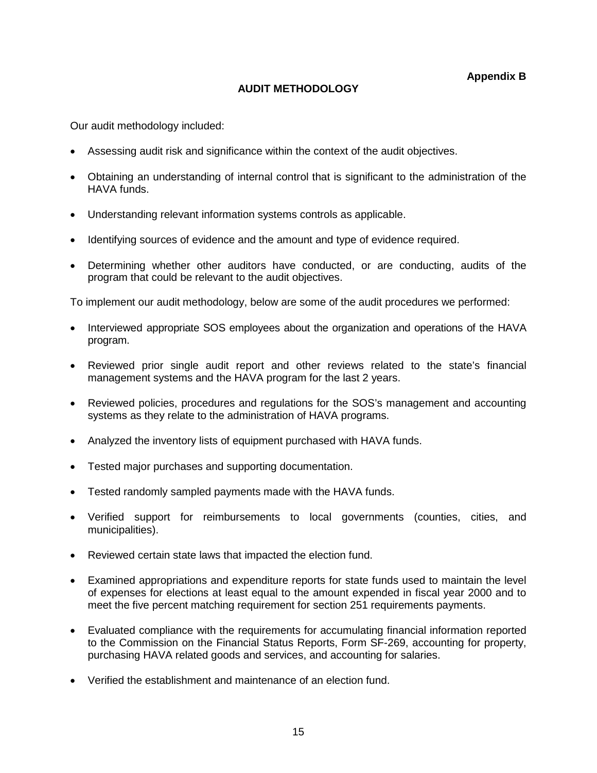**Appendix B** 

## **AUDIT METHODOLOGY**

Our audit methodology included:

- •Assessing audit risk and significance within the context of the audit objectives.
- •Obtaining an understanding of internal control that is significant to the administration of the HAVA funds.
- •Understanding relevant information systems controls as applicable.
- •Identifying sources of evidence and the amount and type of evidence required.
- •Determining whether other auditors have conducted, or are conducting, audits of the program that could be relevant to the audit objectives.

To implement our audit methodology, below are some of the audit procedures we performed:

- •Interviewed appropriate SOS employees about the organization and operations of the HAVA program.
- •Reviewed prior single audit report and other reviews related to the state's financial management systems and the HAVA program for the last 2 years.
- •Reviewed policies, procedures and regulations for the SOS's management and accounting systems as they relate to the administration of HAVA programs.
- •Analyzed the inventory lists of equipment purchased with HAVA funds.
- Tested major purchases and supporting documentation.
- Tested randomly sampled payments made with the HAVA funds.
- •Verified support for reimbursements to local governments (counties, cities, and municipalities).
- •Reviewed certain state laws that impacted the election fund.
- •Examined appropriations and expenditure reports for state funds used to maintain the level of expenses for elections at least equal to the amount expended in fiscal year 2000 and to meet the five percent matching requirement for section 251 requirements payments.
- •Evaluated compliance with the requirements for accumulating financial information reported to the Commission on the Financial Status Reports, Form SF-269, accounting for property, purchasing HAVA related goods and services, and accounting for salaries.
- •Verified the establishment and maintenance of an election fund.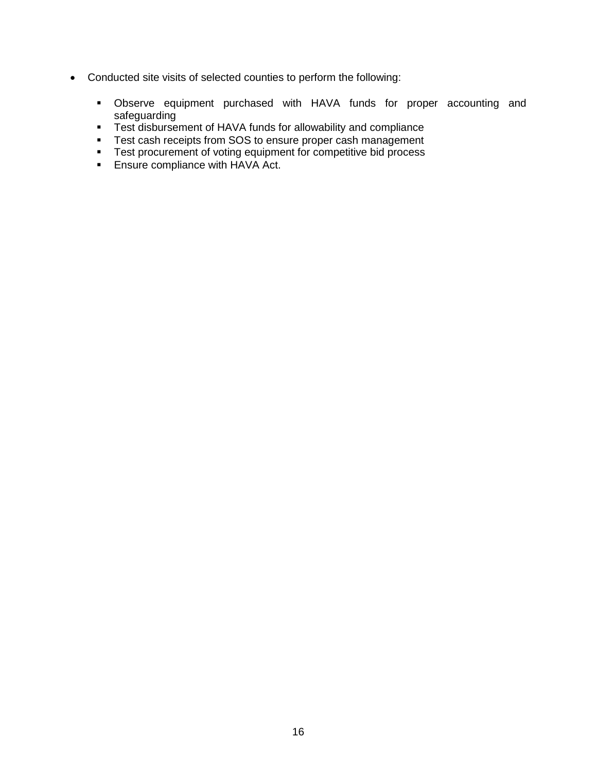- Conducted site visits of selected counties to perform the following:
	- � Observe equipment purchased with HAVA funds for proper accounting and safeguarding
	- **Test disbursement of HAVA funds for allowability and compliance**
	- **Test cash receipts from SOS to ensure proper cash management**
	- **•** Test procurement of voting equipment for competitive bid process
	- **Ensure compliance with HAVA Act.**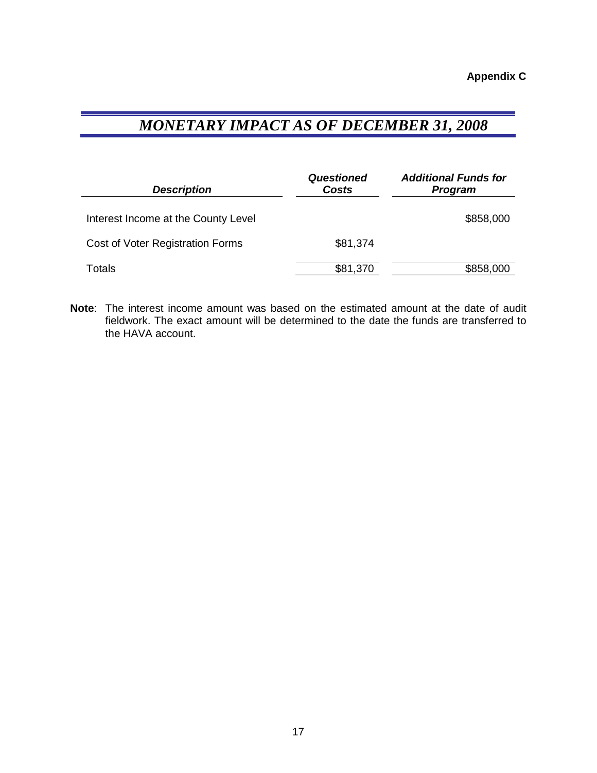## *MONETARY IMPACT AS OF DECEMBER 31, 2008*

| <b>Description</b>                  | <b>Questioned</b><br>Costs | <b>Additional Funds for</b><br>Program |  |
|-------------------------------------|----------------------------|----------------------------------------|--|
| Interest Income at the County Level |                            | \$858,000                              |  |
| Cost of Voter Registration Forms    | \$81,374                   |                                        |  |
| Totals                              | \$81,370                   | \$858,000                              |  |

**Note:** The interest income amount was based on the estimated amount at the date of audit fieldwork. The exact amount will be determined to the date the funds are transferred to the HAVA account.